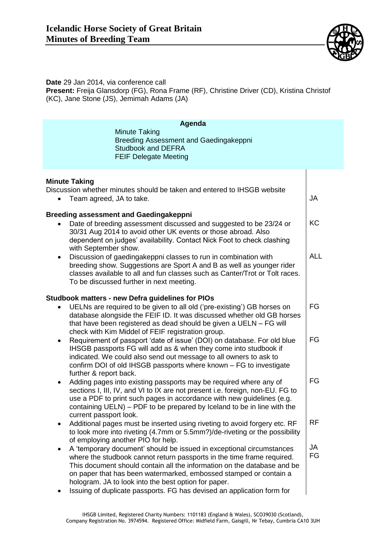

**Date** 29 Jan 2014, via conference call **Present:** Freija Glansdorp (FG), Rona Frame (RF), Christine Driver (CD), Kristina Christof (KC), Jane Stone (JS), Jemimah Adams (JA)

| Agenda<br><b>Minute Taking</b><br>Breeding Assessment and Gaedingakeppni<br><b>Studbook and DEFRA</b><br><b>FEIF Delegate Meeting</b>                                                                                                                                                                                                                               |                 |
|---------------------------------------------------------------------------------------------------------------------------------------------------------------------------------------------------------------------------------------------------------------------------------------------------------------------------------------------------------------------|-----------------|
| <b>Minute Taking</b><br>Discussion whether minutes should be taken and entered to IHSGB website<br>Team agreed, JA to take.                                                                                                                                                                                                                                         | JA              |
| <b>Breeding assessment and Gaedingakeppni</b><br>Date of breeding assessment discussed and suggested to be 23/24 or<br>30/31 Aug 2014 to avoid other UK events or those abroad. Also<br>dependent on judges' availability. Contact Nick Foot to check clashing                                                                                                      | <b>KC</b>       |
| with September show.<br>Discussion of gaedingakeppni classes to run in combination with<br>$\bullet$<br>breeding show. Suggestions are Sport A and B as well as younger rider<br>classes available to all and fun classes such as Canter/Trot or Tolt races.<br>To be discussed further in next meeting.                                                            | <b>ALL</b>      |
| <b>Studbook matters - new Defra guidelines for PIOs</b><br>UELNs are required to be given to all old ('pre-existing') GB horses on<br>database alongside the FEIF ID. It was discussed whether old GB horses<br>that have been registered as dead should be given a UELN - FG will<br>check with Kim Middel of FEIF registration group.                             | FG              |
| Requirement of passport 'date of issue' (DOI) on database. For old blue<br>٠<br>IHSGB passports FG will add as & when they come into studbook if<br>indicated. We could also send out message to all owners to ask to<br>confirm DOI of old IHSGB passports where known – FG to investigate<br>further & report back.                                               | FG              |
| Adding pages into existing passports may be required where any of<br>$\bullet$<br>sections I, III, IV, and VI to IX are not present i.e. foreign, non-EU. FG to<br>use a PDF to print such pages in accordance with new guidelines (e.g.<br>containing UELN) – PDF to be prepared by Iceland to be in line with the                                                 | FG              |
| current passport look.<br>Additional pages must be inserted using riveting to avoid forgery etc. RF<br>$\bullet$<br>to look more into riveting (4.7mm or 5.5mm?)/de-riveting or the possibility<br>of employing another PIO for help.                                                                                                                               | <b>RF</b>       |
| A 'temporary document' should be issued in exceptional circumstances<br>$\bullet$<br>where the studbook cannot return passports in the time frame required.<br>This document should contain all the information on the database and be<br>on paper that has been watermarked, embossed stamped or contain a<br>hologram. JA to look into the best option for paper. | <b>JA</b><br>FG |
| Issuing of duplicate passports. FG has devised an application form for                                                                                                                                                                                                                                                                                              |                 |